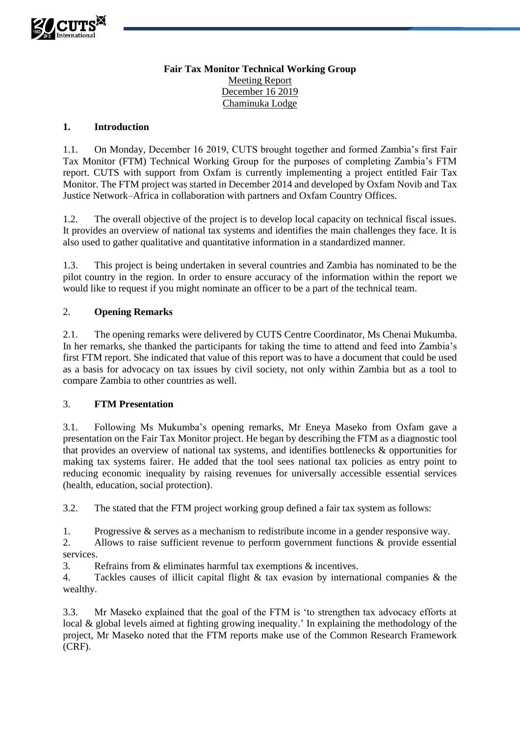

# **Fair Tax Monitor Technical Working Group** Meeting Report December 16 2019 Chaminuka Lodge

#### **1. Introduction**

1.1. On Monday, December 16 2019, CUTS brought together and formed Zambia's first Fair Tax Monitor (FTM) Technical Working Group for the purposes of completing Zambia's FTM report. CUTS with support from Oxfam is currently implementing a project entitled Fair Tax Monitor. The FTM project was started in December 2014 and developed by Oxfam Novib and Tax Justice Network–Africa in collaboration with partners and Oxfam Country Offices.

1.2. The overall objective of the project is to develop local capacity on technical fiscal issues. It provides an overview of national tax systems and identifies the main challenges they face. It is also used to gather qualitative and quantitative information in a standardized manner.

1.3. This project is being undertaken in several countries and Zambia has nominated to be the pilot country in the region. In order to ensure accuracy of the information within the report we would like to request if you might nominate an officer to be a part of the technical team.

## 2. **Opening Remarks**

2.1. The opening remarks were delivered by CUTS Centre Coordinator, Ms Chenai Mukumba. In her remarks, she thanked the participants for taking the time to attend and feed into Zambia's first FTM report. She indicated that value of this report was to have a document that could be used as a basis for advocacy on tax issues by civil society, not only within Zambia but as a tool to compare Zambia to other countries as well.

#### 3. **FTM Presentation**

3.1. Following Ms Mukumba's opening remarks, Mr Eneya Maseko from Oxfam gave a presentation on the Fair Tax Monitor project. He began by describing the FTM as a diagnostic tool that provides an overview of national tax systems, and identifies bottlenecks & opportunities for making tax systems fairer. He added that the tool sees national tax policies as entry point to reducing economic inequality by raising revenues for universally accessible essential services (health, education, social protection).

3.2. The stated that the FTM project working group defined a fair tax system as follows:

1. Progressive & serves as a mechanism to redistribute income in a gender responsive way.

2. Allows to raise sufficient revenue to perform government functions & provide essential services.

3. Refrains from & eliminates harmful tax exemptions & incentives.

4. Tackles causes of illicit capital flight & tax evasion by international companies & the wealthy.

3.3. Mr Maseko explained that the goal of the FTM is 'to strengthen tax advocacy efforts at local & global levels aimed at fighting growing inequality.' In explaining the methodology of the project, Mr Maseko noted that the FTM reports make use of the Common Research Framework (CRF).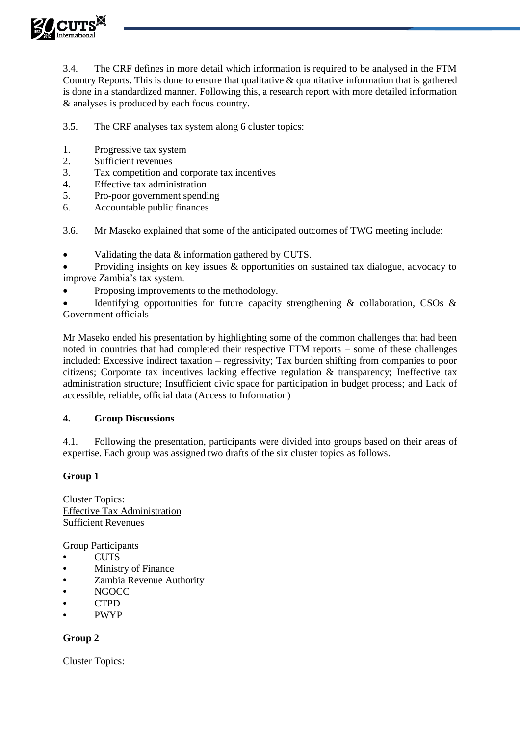

3.4. The CRF defines in more detail which information is required to be analysed in the FTM Country Reports. This is done to ensure that qualitative  $\&$  quantitative information that is gathered is done in a standardized manner. Following this, a research report with more detailed information & analyses is produced by each focus country.

3.5. The CRF analyses tax system along 6 cluster topics:

- 1. Progressive tax system<br>2. Sufficient revenues
- Sufficient revenues
- 3. Tax competition and corporate tax incentives
- 4. Effective tax administration
- 5. Pro-poor government spending
- 6. Accountable public finances

3.6. Mr Maseko explained that some of the anticipated outcomes of TWG meeting include:

Validating the data & information gathered by CUTS.

 Providing insights on key issues & opportunities on sustained tax dialogue, advocacy to improve Zambia's tax system.

Proposing improvements to the methodology.

 Identifying opportunities for future capacity strengthening & collaboration, CSOs & Government officials

Mr Maseko ended his presentation by highlighting some of the common challenges that had been noted in countries that had completed their respective FTM reports – some of these challenges included: Excessive indirect taxation – regressivity; Tax burden shifting from companies to poor citizens; Corporate tax incentives lacking effective regulation & transparency; Ineffective tax administration structure; Insufficient civic space for participation in budget process; and Lack of accessible, reliable, official data (Access to Information)

## **4. Group Discussions**

4.1. Following the presentation, participants were divided into groups based on their areas of expertise. Each group was assigned two drafts of the six cluster topics as follows.

## **Group 1**

Cluster Topics: Effective Tax Administration Sufficient Revenues

Group Participants

- **•** CUTS
- **•** Ministry of Finance
- **•** Zambia Revenue Authority
- **•** NGOCC
- **•** CTPD
- **•** PWYP

## **Group 2**

Cluster Topics: